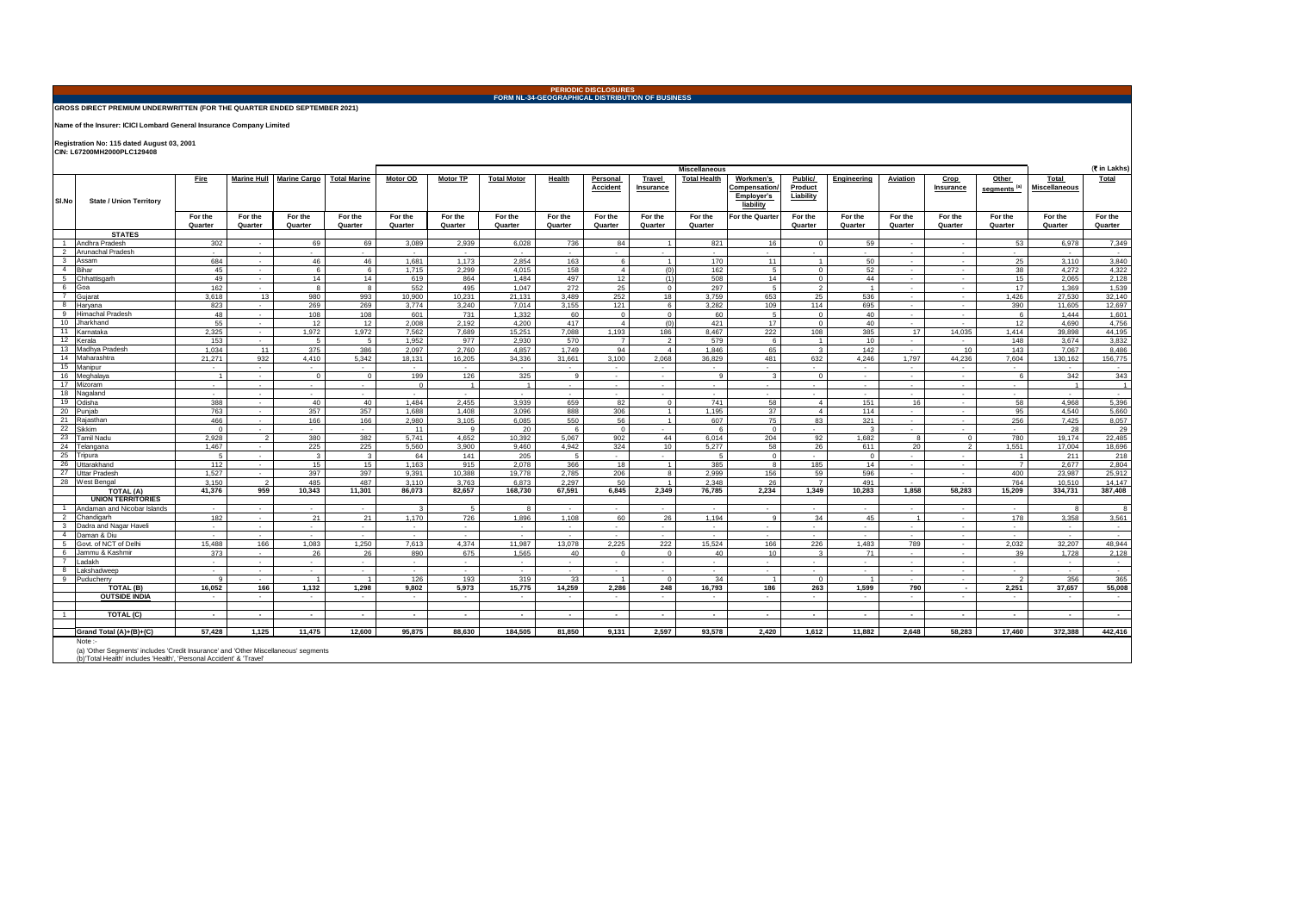## **PERIODIC DISCLOSURES FORM NL-34-GEOGRAPHICAL DISTRIBUTION OF BUSINESS**

## **GROSS DIRECT PREMIUM UNDERWRITTEN (FOR THE QUARTER ENDED SEPTEMBER 2021)**

**Name of the Insurer: ICICI Lombard General Insurance Company Limited**

**Registration No: 115 dated August 03, 2001 CIN: L67200MH2000PLC129408** 

|                         |                                                                                                                                                                     |                    |                          |                     | <b>Miscellaneous</b>    |                             |                    |                    |                    |                             |                             |                     |                                                      |                                 | (र in Lakhs)            |                          |                    |                                  |                               |                    |
|-------------------------|---------------------------------------------------------------------------------------------------------------------------------------------------------------------|--------------------|--------------------------|---------------------|-------------------------|-----------------------------|--------------------|--------------------|--------------------|-----------------------------|-----------------------------|---------------------|------------------------------------------------------|---------------------------------|-------------------------|--------------------------|--------------------|----------------------------------|-------------------------------|--------------------|
| SI.No                   | <b>State / Union Territory</b>                                                                                                                                      | <b>Fire</b>        | Marine Hull              | <b>Marine Cargo</b> | <b>Total Marine</b>     | <b>Motor OD</b>             | <b>Motor TP</b>    | <b>Total Motor</b> | Health             | Personal<br><b>Accident</b> | Travel<br>Insurance         | <b>Total Health</b> | Workmen's<br>Compensation<br>Employer's<br>liability | Public/<br>Product<br>Liability | Engineering             | <b>Aviation</b>          | Crop<br>Insurance  | Other<br>segments <sup>(a)</sup> | Total<br><b>Miscellaneous</b> | <b>Total</b>       |
|                         |                                                                                                                                                                     | For the<br>Quarter | For the<br>Quarter       | For the<br>Quarter  | For the<br>Quarter      | For the<br>Quarter          | For the<br>Quarter | For the<br>Quarter | For the<br>Quarter | For the<br>Quarter          | For the<br>Quarter          | For the<br>Quarter  | For the Quarter                                      | For the<br>Quarter              | For the<br>Quarter      | For the<br>Quarter       | For the<br>Quarter | For the<br>Quarter               | For the<br>Quarter            | For the<br>Quarter |
|                         | <b>STATES</b>                                                                                                                                                       |                    |                          |                     |                         |                             |                    |                    |                    |                             |                             |                     |                                                      |                                 |                         |                          |                    |                                  |                               |                    |
|                         | 1 Andhra Pradesh                                                                                                                                                    | 302                | $\sim$                   | 69                  | 69                      | 3.089                       | 2.939              | 6,028              | 736                | 84                          | $\overline{1}$              | 821                 | 16                                                   | $\overline{0}$                  | 59                      | $\sim$                   | $\sim$             | 53                               | 6.978                         | 7,349              |
|                         | 2 Arunachal Pradesh                                                                                                                                                 | $\sim$             | $\sim$                   | $\sim$              | $\sim$                  | $\sim$                      | $\sim$             | $\sim$             | $\sim$             | $\sim$                      | $\sim$                      | $\sim$              | $\overline{\phantom{a}}$                             | $\sim$                          | $\sim$                  | $\overline{\phantom{a}}$ | $\sim$             | $\sim$                           | $\overline{\phantom{a}}$      | $\sim$             |
|                         | 3 Assam                                                                                                                                                             | 684                | $\sim$                   | 46                  | 46                      | 1,681                       | 1,173              | 2,854              | 163                | 6                           | $\overline{1}$              | 170                 | 11                                                   | $\overline{1}$                  | 50                      | $\sim$                   | $\sim$             | 25                               | 3,110                         | 3,840              |
|                         | 4 Bihar                                                                                                                                                             | 45                 | $\sim$                   | 6                   | $6^{\circ}$             | 1.715                       | 2.299              | 4.015              | 158                | $\overline{4}$              | (0)                         | 162                 | 5                                                    | $\Omega$                        | 52                      | $\sim$                   | $\sim$             | 38                               | 4.272                         | 4.322              |
| 5 <sub>1</sub>          | Chhattisgarh                                                                                                                                                        | 49                 | $\sim$                   | 14                  | 14                      | 619                         | 864                | 1,484              | 497                | 12                          | (1)                         | 508                 | 14                                                   | $\circ$                         | 44                      | $\overline{\phantom{a}}$ | $\sim$             | 15                               | 2.065                         | 2,128              |
| 6                       | Goa                                                                                                                                                                 | 162                | $\sim$                   | 8                   | 8                       | 552                         | 495                | 1.047              | 272                | 25                          | $\overline{0}$              | 297                 | 5                                                    | $\overline{2}$                  | $\overline{1}$          | $\sim$                   | $\sim$             | 17                               | 1.369                         | 1,539              |
| $\overline{7}$          | Gujarat                                                                                                                                                             | 3.618              | 13                       | 980                 | 993                     | 10.900                      | 10,231             | 21.131             | 3.489              | 252                         | 18                          | 3.759               | 653                                                  | 25                              | 536                     | $\sim$                   | $\sim$             | 1,426                            | 27.530                        | 32,140             |
| 8                       | Harvana                                                                                                                                                             | 823                | $\sim$                   | 269                 | 269                     | 3.774                       | 3,240              | 7,014              | 3,155              | 121                         | 6                           | 3,282               | 109                                                  | 114                             | 695                     | $\sim$                   | $\sim$             | 390                              | 11,605                        | 12,697             |
| 9                       | Himachal Pradesh                                                                                                                                                    | 48                 | $\sim$                   | 108                 | 108                     | 601                         | 731                | 1,332              | 60                 | $\mathbf{0}$                | $\overline{0}$              | 60                  | $5\overline{5}$                                      | $\overline{0}$                  | 40                      | $\sim$                   | $\sim$             | 6                                | 1,444                         | 1,601              |
|                         | 10 Jharkhand                                                                                                                                                        | 55                 | $\sim$                   | 12                  | 12                      | 2.008                       | 2.192              | 4.200              | 417                | $\overline{4}$              | (0)                         | 421                 | 17                                                   | $\Omega$                        | 40                      | $\sim$                   | $\sim$             | 12 <sup>12</sup>                 | 4.690                         | 4.756              |
| 11                      | Karnataka                                                                                                                                                           | 2,325              | $\sim$                   | 1,972               | 1,972                   | 7,562                       | 7,689              | 15,251             | 7,088              | 1,193                       | 186                         | 8,467               | 222                                                  | 108                             | 385                     | 17                       | 14,035             | 1.414                            | 39,898                        | 44,195             |
|                         | 12 Kerala                                                                                                                                                           | 153                | $\sim$                   | $5\overline{5}$     | 5                       | 1,952                       | 977                | 2,930              | 570                | $\overline{7}$              | $\overline{2}$              | 579                 | 6                                                    | $\overline{1}$                  | 10                      | $\sim$                   | $\sim$             | 148                              | 3.674                         | 3,832              |
|                         | 13 Madhya Pradesh                                                                                                                                                   | 1.034              | 11                       | 375                 | 386                     | 2,097                       | 2,760              | 4.857              | 1.749              | 94                          | $\overline{4}$              | 1.846               | 65                                                   | $\mathbf{3}$                    | 142                     | $\sim$                   | 10                 | 143                              | 7.067                         | 8,486              |
|                         | 14 Maharashtra                                                                                                                                                      | 21,271             | 932                      | 4,410               | 5,342                   | 18,131                      | 16,205             | 34,336             | 31,661             | 3,100                       | 2,068                       | 36,829              | 481                                                  | 632                             | 4,246                   | 1,797                    | 44,236             | 7,604                            | 130,162                       | 156,775            |
|                         | 15 Manipur                                                                                                                                                          | $\sim$             | $\sim$                   | $\sim$              | $\sim$                  | $\sim$                      | $\sim$             | $\sim$             | $\sim$             | $\sim$                      | $\sim$                      | $\sim$              | $\sim$                                               | $\sim$                          | $\sim$                  | $\sim$                   | $\sim$             | $\sim$                           | $\sim$                        | $\sim$             |
|                         | 16 Meghalaya                                                                                                                                                        | $\overline{1}$     | $\sim$                   | $\Omega$            | $\Omega$                | 199                         | 126                | 325                | $\overline{9}$     | $\sim$                      | $\sim$                      | $\alpha$            | $\mathbf{3}$                                         | $\Omega$                        | $\sim$                  | $\sim$                   | $\sim$             | 6                                | 342                           | 343                |
|                         | 17 Mizoram                                                                                                                                                          | $\sim$             | $\sim$                   | $\sim$              | $\sim$                  | $\Omega$                    | $\overline{1}$     | $\overline{1}$     | $\sim$             | $\sim$                      | $\sim$                      | $\sim$              | $\sim$                                               | $\sim$                          | $\sim$                  | $\sim$                   | $\sim$             | $\sim$                           | $\overline{1}$                | $\overline{1}$     |
|                         | 18 Nagaland                                                                                                                                                         | $\sim$             | $\sim$                   | $\sim$              | $\sim$                  | $\sim$                      | $\sim$             | $\sim$             | $\sim$             | $\sim$                      | $\sim$                      | $\sim$              | $\sim$                                               | $\sim$                          | $\sim$                  | $\sim$                   | $\sim$             | $\sim$                           | $\sim$                        | $\sim$             |
|                         | 19 Odisha                                                                                                                                                           | 388                | $\sim$                   | 40                  | 40                      | 1.484                       | 2.455              | 3.939              | 659                | 82                          | $\overline{0}$              | 741                 | 58                                                   | $\overline{4}$                  | 151                     | 16                       | $\sim$             | 58                               | 4.968                         | 5,396              |
|                         | 20 Punjab                                                                                                                                                           | 763                | $\sim$                   | 357                 | 357                     | 1,688                       | 1,408              | 3,096              | 888                | 306                         | $\overline{1}$              | 1,195               | 37                                                   | $\overline{4}$                  | 114                     | $\sim$                   | $\sim$             | 95                               | 4,540                         | 5,660              |
|                         | 21 Rajasthan<br>22 Sikkim                                                                                                                                           | 466                | $\sim$                   | 166                 | 166                     | 2.980                       | 3.105              | 6,085              | 550                | 56                          | $\overline{1}$              | 607                 | 75                                                   | 83                              | 321                     | $\sim$                   | $\sim$             | 256                              | 7.425                         | 8,057              |
|                         |                                                                                                                                                                     | $\Omega$           | $\sim$                   | $\sim$              | $\sim$                  | 11                          | $\mathbf{q}$       | 20                 | 6                  | $\overline{0}$              | $\mathcal{L}^{\mathcal{L}}$ | 6                   | $\Omega$                                             | $\sim$                          | $\overline{\mathbf{3}}$ | $\sim$                   | $\sim$             | $\sim$                           | 28                            | 29                 |
|                         | 23 Tamil Nadu                                                                                                                                                       | 2,928<br>1.467     | $\overline{2}$<br>$\sim$ | 380<br>225          | 382<br>225              | 5,741<br>5,560              | 4,652              | 10,392<br>9,460    | 5,067<br>4,942     | 902<br>324                  | 44<br>10                    | 6,014<br>5,277      | 204<br>58                                            | 92<br>26                        | 1,682                   | $\mathbf{g}$<br>20       | $\circ$<br>2       | 780<br>1,551                     | 19.174<br>17,004              | 22,485             |
|                         | 24 Telangana<br>25 Tripura                                                                                                                                          | -5                 | $\sim$                   | 3 <sup>1</sup>      | $\overline{\mathbf{3}}$ | 64                          | 3,900<br>141       | 205                | - 5                | $\sim$                      | $\sim$                      | -5                  |                                                      | $\sim$                          | 611<br>$\Omega$         | $\sim$                   | $\sim$             |                                  | 211                           | 18,696<br>218      |
| 26                      | Uttarakhand                                                                                                                                                         | 112                | $\sim$                   | 15                  | 15                      | 1,163                       | 915                | 2,078              | 366                | 18                          | $\overline{1}$              | 385                 | $^{\circ}$<br>8                                      | 185                             | 14                      | $\sim$                   | $\sim$             | $\overline{1}$<br>$\overline{7}$ | 2,677                         | 2,804              |
|                         | 27 Uttar Pradesh                                                                                                                                                    | 1.527              | $\sim$                   | 397                 | 397                     | 9.391                       | 10,388             | 19.778             | 2,785              | 206                         | $\mathbf{R}$                | 2,999               | 156                                                  | 59                              | 596                     | $\sim$                   | $\sim$             | 400                              | 23.987                        | 25,912             |
|                         | 28 West Bengal                                                                                                                                                      | 3.150              | $\overline{2}$           | 485                 | 487                     | 3.110                       | 3,763              | 6.873              | 2,297              | $50^{\circ}$                | $\overline{1}$              | 2.348               | 26                                                   | $\overline{7}$                  | 491                     | $\sim$                   | $\sim$             | 764                              | 10.510                        | 14.147             |
|                         | TOTAL (A)                                                                                                                                                           | 41.376             | 959                      | 10.343              | 11,301                  | 86,073                      | 82,657             | 168,730            | 67,591             | 6.845                       | 2,349                       | 76.785              | 2,234                                                | 1.349                           | 10,283                  | 1,858                    | 58.283             | 15,209                           | 334,731                       | 387,408            |
|                         | <b>UNION TERRITORIES</b>                                                                                                                                            |                    |                          |                     |                         |                             |                    |                    |                    |                             |                             |                     |                                                      |                                 |                         |                          |                    |                                  |                               |                    |
|                         | 1 Andaman and Nicobar Islands                                                                                                                                       | $\sim$             | $\sim$                   | $\sim$              | $\sim$                  | $\mathbf{3}$                | 5                  | 8                  | $\sim$             | $\sim$                      | $\sim$                      | $\sim$              | $\sim$                                               | $\sim$                          | $\sim$                  | $\sim$                   | $\sim$             | $\sim$                           | 8                             | 8                  |
| 2                       | Chandigarh                                                                                                                                                          | 182                | $\sim$                   | 21                  | 21                      | 1.170                       | 726                | 1,896              | 1.108              | 60                          | 26                          | 1.194               | $\overline{9}$                                       | 34                              | 45                      | $\overline{1}$           | $\sim$             | 178                              | 3,358                         | 3,561              |
| $\overline{\mathbf{3}}$ | Dadra and Nagar Haveli                                                                                                                                              | $\sim$             | $\sim$                   | $\sim$              | $\sim$                  | $\sim$                      | $\sim$             | $\sim$             |                    | $\sim$                      | $\sim$                      |                     | $\sim$                                               | $\sim$                          | $\sim$                  | $\sim$                   | $\sim$             | $\sim$                           | $\overline{\phantom{a}}$      | $\sim$             |
|                         | 4 Daman & Diu                                                                                                                                                       | $\sim$             | $\sim$                   | $\sim$              | $\sim$                  | $\sim$                      | $\sim$             | $\sim$             | $\sim$             | $\sim$                      | $\sim$                      | $\sim$              | $\sim$                                               | $\sim$                          | $\sim$                  | $\sim$                   | $\sim$             | $\sim$                           | $\sim$                        | $\sim$             |
| 5 <sub>5</sub>          | Govt. of NCT of Delhi                                                                                                                                               | 15,488             | 166                      | 1,083               | 1,250                   | 7,613                       | 4,374              | 11,987             | 13,078             | 2,225                       | 222                         | 15,524              | 166                                                  | 226                             | 1,483                   | 789                      | $\sim$             | 2,032                            | 32,207                        | 48,944             |
| 6                       | Jammu & Kashmir                                                                                                                                                     | 373                | $\sim$                   | 26                  | 26                      | 890                         | 675                | 1.565              | 40                 | $^{\circ}$                  | $\overline{0}$              | 40                  | 10                                                   | $\mathbf{3}$                    | 71                      | $\sim$                   | $\sim$             | 39                               | 1.728                         | 2,128              |
| $\overline{7}$          | Ladakh                                                                                                                                                              | $\sim$             | $\sim$                   | $\sim$              | $\sim$                  | $\mathcal{L}^{\mathcal{L}}$ | $\sim$             | $\sim$             | $\sim$             | $\sim$                      | $\sim$                      | $\sim$              | $\sim$                                               | $\sim 10$                       | $\sim$                  | $\sim$                   | $\sim$             | $\sim$                           | $\sim$                        | $\sim$             |
| 8                       | Lakshadweep                                                                                                                                                         | $\sim$             | $\sim$                   | $\sim$              | $\sim$                  | $\sim$                      | $\sim$             | $\sim$             | $\sim$             | $\sim$                      | $\sim$                      | $\sim$              | $\sim$                                               | $\sim$                          | $\sim$                  | $\sim$                   | $\sim$             | $\sim$                           | $\sim$                        | $\sim$             |
| 9                       | Puducherry                                                                                                                                                          | q                  | $\sim$                   | $\overline{1}$      |                         | 126                         | 193                | 319                | 33                 | $\overline{1}$              | $\overline{0}$              | 34                  |                                                      | $\Omega$                        | $\overline{1}$          |                          |                    | $\overline{2}$                   | 356                           | 365                |
|                         | TOTAL (B)                                                                                                                                                           | 16.052             | 166                      | 1.132               | 1.298                   | 9.802                       | 5,973              | 15.775             | 14.259             | 2.286                       | 248                         | 16.793              | 186                                                  | 263                             | 1.599                   | 790                      | $\sim$             | 2,251                            | 37.657                        | 55,008             |
|                         | <b>OUTSIDE INDIA</b>                                                                                                                                                | $\sim$             | $\sim$                   | $\sim$              | $\sim$                  | $\sim$                      | $\sim$             | $\sim$             | $\sim$             | $\sim$                      | $\sim$                      | $\sim$              | $\sim$                                               | $\sim$                          | $\sim$                  | $\sim$                   | $\sim$             | $\sim$                           | $\sim$                        | $\sim$             |
|                         |                                                                                                                                                                     |                    |                          |                     |                         |                             |                    |                    |                    |                             |                             |                     |                                                      |                                 |                         |                          |                    |                                  |                               |                    |
| $\overline{1}$          | TOTAL (C)                                                                                                                                                           | $\sim$             | $\sim$                   | $\sim$              | $\sim$                  | $\sim$                      | $\sim$             | $\sim$             | $\sim$             | $\sim$                      | $\sim$                      | $\sim$              | $\sim$                                               | $\sim$                          | $\sim$                  | $\sim$                   | $\sim$             | $\sim$                           | $\sim$                        | $\sim$             |
|                         |                                                                                                                                                                     |                    |                          |                     |                         |                             |                    |                    |                    |                             |                             |                     |                                                      |                                 |                         |                          |                    |                                  |                               |                    |
|                         | Grand Total (A)+(B)+(C)                                                                                                                                             | 57,428             | 1,125                    | 11,475              | 12,600                  | 95,875                      | 88,630             | 184,505            | 81,850             | 9,131                       | 2,597                       | 93,578              | 2,420                                                | 1,612                           | 11,882                  | 2,648                    | 58,283             | 17,460                           | 372,388                       | 442,416            |
|                         | Note:<br>(a) 'Other Segments' includes 'Credit Insurance' and 'Other Miscellaneous' segments<br>(b)'Total Health' includes 'Health', 'Personal Accident' & 'Travel' |                    |                          |                     |                         |                             |                    |                    |                    |                             |                             |                     |                                                      |                                 |                         |                          |                    |                                  |                               |                    |